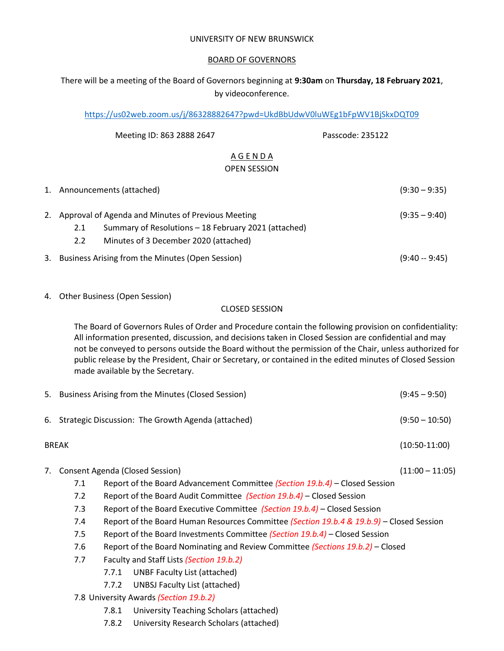#### UNIVERSITY OF NEW BRUNSWICK

### BOARD OF GOVERNORS

# There will be a meeting of the Board of Governors beginning at **9:30am** on **Thursday, 18 February 2021**, by videoconference.

<https://us02web.zoom.us/j/86328882647?pwd=UkdBbUdwV0luWEg1bFpWV1BjSkxDQT09>

| Meeting ID: 863 2888 2647                                                                                                                                                      | Passcode: 235122 |                 |
|--------------------------------------------------------------------------------------------------------------------------------------------------------------------------------|------------------|-----------------|
| AGENDA<br><b>OPEN SESSION</b>                                                                                                                                                  |                  |                 |
| 1. Announcements (attached)                                                                                                                                                    |                  | $(9:30 - 9:35)$ |
| 2. Approval of Agenda and Minutes of Previous Meeting<br>Summary of Resolutions – 18 February 2021 (attached)<br>2.1<br>$2.2^{\circ}$<br>Minutes of 3 December 2020 (attached) |                  | $(9:35 - 9:40)$ |
| 3. Business Arising from the Minutes (Open Session)                                                                                                                            |                  | $(9:40 - 9:45)$ |

4. Other Business (Open Session)

#### CLOSED SESSION

The Board of Governors Rules of Order and Procedure contain the following provision on confidentiality: All information presented, discussion, and decisions taken in Closed Session are confidential and may not be conveyed to persons outside the Board without the permission of the Chair, unless authorized for public release by the President, Chair or Secretary, or contained in the edited minutes of Closed Session made available by the Secretary.

|    |                                                                        | 5. Business Arising from the Minutes (Closed Session)                                    | $(9:45 - 9:50)$   |
|----|------------------------------------------------------------------------|------------------------------------------------------------------------------------------|-------------------|
| 6. | Strategic Discussion: The Growth Agenda (attached)<br>$(9:50 - 10:50)$ |                                                                                          |                   |
|    | <b>BREAK</b>                                                           |                                                                                          |                   |
| 7. |                                                                        | Consent Agenda (Closed Session)                                                          | $(11:00 - 11:05)$ |
|    | 7.1                                                                    | Report of the Board Advancement Committee (Section 19.b.4) – Closed Session              |                   |
|    | 7.2                                                                    | Report of the Board Audit Committee (Section 19.b.4) – Closed Session                    |                   |
|    | 7.3                                                                    | Report of the Board Executive Committee (Section 19.b.4) – Closed Session                |                   |
|    | 7.4                                                                    | Report of the Board Human Resources Committee (Section 19.b.4 & 19.b.9) - Closed Session |                   |
|    | 7.5                                                                    | Report of the Board Investments Committee (Section 19.b.4) – Closed Session              |                   |
|    | 7.6                                                                    | Report of the Board Nominating and Review Committee (Sections 19.b.2) – Closed           |                   |
|    | 7.7                                                                    | Faculty and Staff Lists (Section 19.b.2)                                                 |                   |
|    |                                                                        | UNBF Faculty List (attached)<br>7.7.1                                                    |                   |
|    |                                                                        | UNBSJ Faculty List (attached)<br>7.7.2                                                   |                   |

- 7.8 University Awards *(Section 19.b.2)*
	- 7.8.1 University Teaching Scholars (attached)
	- 7.8.2 University Research Scholars (attached)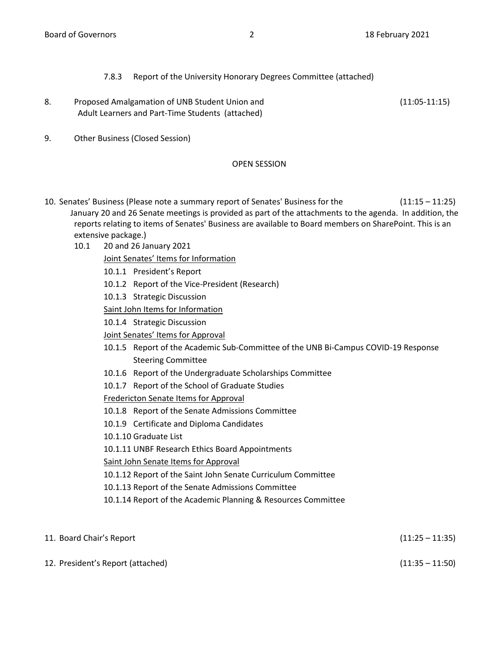## 7.8.3 Report of the University Honorary Degrees Committee (attached)

- 8. Proposed Amalgamation of UNB Student Union and (11:05-11:15) Adult Learners and Part-Time Students (attached)
- 9. Other Business (Closed Session)

## OPEN SESSION

- 10. Senates' Business (Please note a summary report of Senates' Business for the (11:15 11:25) January 20 and 26 Senate meetings is provided as part of the attachments to the agenda. In addition, the reports relating to items of Senates' Business are available to Board members on SharePoint. This is an extensive package.)
	- 10.1 20 and 26 January 2021
		- Joint Senates' Items for Information
		- 10.1.1 President's Report
		- 10.1.2 Report of the Vice-President (Research)
		- 10.1.3 Strategic Discussion
		- Saint John Items for Information
		- 10.1.4 Strategic Discussion
		- Joint Senates' Items for Approval
		- 10.1.5 Report of the Academic Sub-Committee of the UNB Bi-Campus COVID-19 Response Steering Committee
		- 10.1.6 Report of the Undergraduate Scholarships Committee
		- 10.1.7 Report of the School of Graduate Studies

Fredericton Senate Items for Approval

- 10.1.8 Report of the Senate Admissions Committee
- 10.1.9 Certificate and Diploma Candidates
- 10.1.10 Graduate List
- 10.1.11 UNBF Research Ethics Board Appointments

Saint John Senate Items for Approval

- 10.1.12 Report of the Saint John Senate Curriculum Committee
- 10.1.13 Report of the Senate Admissions Committee
- 10.1.14 Report of the Academic Planning & Resources Committee

| 11. Board Chair's Report          | $(11:25 - 11:35)$ |
|-----------------------------------|-------------------|
| 12. President's Report (attached) | $(11:35 - 11:50)$ |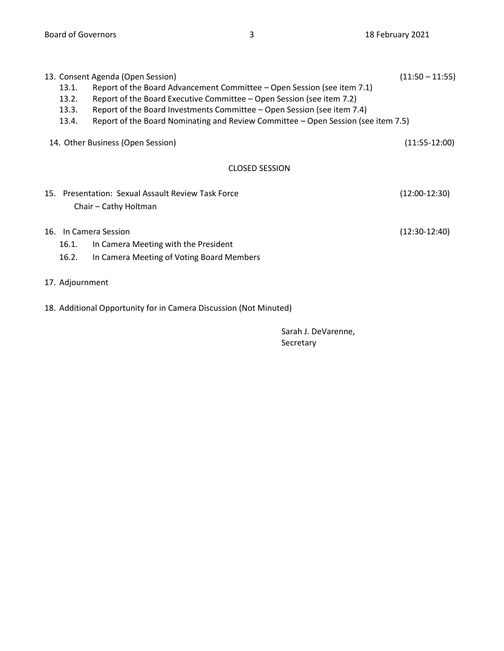| 13. Consent Agenda (Open Session)                                                          | $(11:50 - 11:55)$ |  |  |  |  |  |
|--------------------------------------------------------------------------------------------|-------------------|--|--|--|--|--|
| Report of the Board Advancement Committee – Open Session (see item 7.1)<br>13.1.           |                   |  |  |  |  |  |
| Report of the Board Executive Committee – Open Session (see item 7.2)<br>13.2.             |                   |  |  |  |  |  |
| Report of the Board Investments Committee - Open Session (see item 7.4)<br>13.3.           |                   |  |  |  |  |  |
| Report of the Board Nominating and Review Committee – Open Session (see item 7.5)<br>13.4. |                   |  |  |  |  |  |
| 14. Other Business (Open Session)                                                          |                   |  |  |  |  |  |
| <b>CLOSED SESSION</b>                                                                      |                   |  |  |  |  |  |
| 15. Presentation: Sexual Assault Review Task Force                                         | $(12:00-12:30)$   |  |  |  |  |  |
| Chair - Cathy Holtman                                                                      |                   |  |  |  |  |  |
| 16. In Camera Session                                                                      | $(12:30-12:40)$   |  |  |  |  |  |
| 16.1.<br>In Camera Meeting with the President                                              |                   |  |  |  |  |  |
| 16.2.<br>In Camera Meeting of Voting Board Members                                         |                   |  |  |  |  |  |
| 17. Adjournment                                                                            |                   |  |  |  |  |  |

18. Additional Opportunity for in Camera Discussion (Not Minuted)

Sarah J. DeVarenne, Secretary